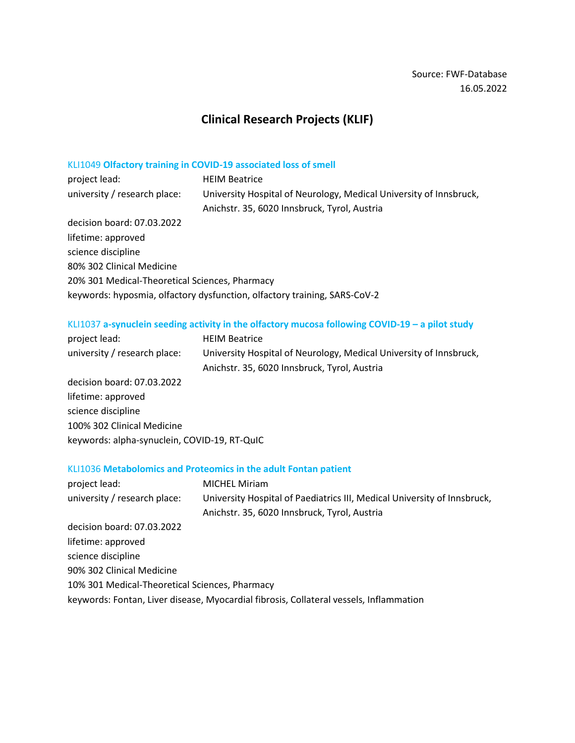# **Clinical Research Projects (KLIF)**

## KLI1049 **Olfactory training in COVID-19 associated loss of smell**

| project lead:                                  | <b>HEIM Beatrice</b>                                                      |
|------------------------------------------------|---------------------------------------------------------------------------|
| university / research place:                   | University Hospital of Neurology, Medical University of Innsbruck,        |
|                                                | Anichstr. 35, 6020 Innsbruck, Tyrol, Austria                              |
| decision board: 07.03.2022                     |                                                                           |
| lifetime: approved                             |                                                                           |
| science discipline                             |                                                                           |
| 80% 302 Clinical Medicine                      |                                                                           |
| 20% 301 Medical-Theoretical Sciences, Pharmacy |                                                                           |
|                                                | keywords: hyposmia, olfactory dysfunction, olfactory training, SARS-CoV-2 |

## KLI1037 **a-synuclein seeding activity in the olfactory mucosa following COVID-19 – a pilot study**

| project lead:                                | <b>HEIM Beatrice</b>                                               |
|----------------------------------------------|--------------------------------------------------------------------|
| university / research place:                 | University Hospital of Neurology, Medical University of Innsbruck, |
|                                              | Anichstr. 35, 6020 Innsbruck, Tyrol, Austria                       |
| decision board: 07.03.2022                   |                                                                    |
| lifetime: approved                           |                                                                    |
| science discipline                           |                                                                    |
| 100% 302 Clinical Medicine                   |                                                                    |
| keywords: alpha-synuclein, COVID-19, RT-QuIC |                                                                    |
|                                              |                                                                    |

### KLI1036 **Metabolomics and Proteomics in the adult Fontan patient**

| project lead:                                  | <b>MICHEL Miriam</b>                                                                   |
|------------------------------------------------|----------------------------------------------------------------------------------------|
| university / research place:                   | University Hospital of Paediatrics III, Medical University of Innsbruck,               |
|                                                | Anichstr. 35, 6020 Innsbruck, Tyrol, Austria                                           |
| decision board: 07.03.2022                     |                                                                                        |
| lifetime: approved                             |                                                                                        |
| science discipline                             |                                                                                        |
| 90% 302 Clinical Medicine                      |                                                                                        |
| 10% 301 Medical-Theoretical Sciences, Pharmacy |                                                                                        |
|                                                | keywords: Fontan, Liver disease, Myocardial fibrosis, Collateral vessels, Inflammation |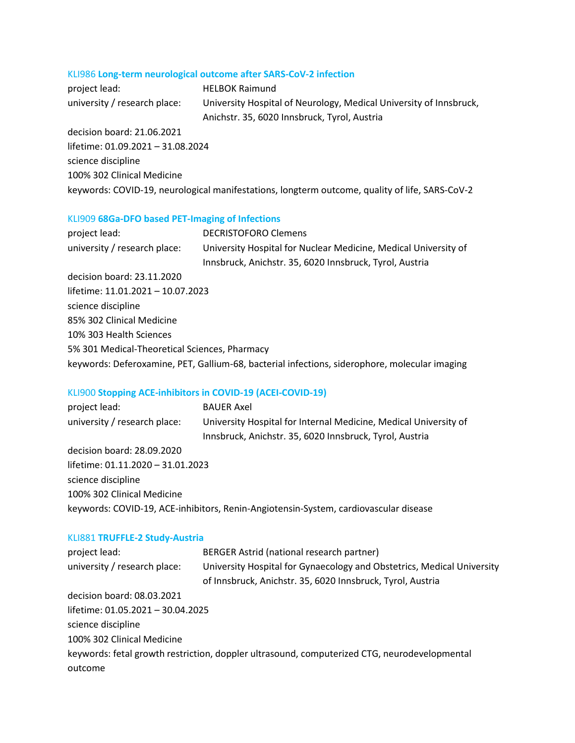## KLI986 **Long-term neurological outcome after SARS-CoV-2 infection**

| project lead:                     | <b>HELBOK Raimund</b>                                              |
|-----------------------------------|--------------------------------------------------------------------|
| university / research place:      | University Hospital of Neurology, Medical University of Innsbruck, |
|                                   | Anichstr. 35, 6020 Innsbruck, Tyrol, Austria                       |
| decision board: 21.06.2021        |                                                                    |
| lifetime: 01.09.2021 - 31.08.2024 |                                                                    |

science discipline 100% 302 Clinical Medicine keywords: COVID-19, neurological manifestations, longterm outcome, quality of life, SARS-CoV-2

## KLI909 **68Ga-DFO based PET-Imaging of Infections**

| project lead:                                 | <b>DECRISTOFORO Clemens</b>                                                                   |
|-----------------------------------------------|-----------------------------------------------------------------------------------------------|
| university / research place:                  | University Hospital for Nuclear Medicine, Medical University of                               |
|                                               | Innsbruck, Anichstr. 35, 6020 Innsbruck, Tyrol, Austria                                       |
| decision board: 23.11.2020                    |                                                                                               |
| lifetime: 11.01.2021 - 10.07.2023             |                                                                                               |
| science discipline                            |                                                                                               |
| 85% 302 Clinical Medicine                     |                                                                                               |
| 10% 303 Health Sciences                       |                                                                                               |
| 5% 301 Medical-Theoretical Sciences, Pharmacy |                                                                                               |
|                                               | keywords: Deferoxamine, PET, Gallium-68, bacterial infections, siderophore, molecular imaging |

## KLI900 **Stopping ACE-inhibitors in COVID-19 (ACEI-COVID-19)**

| project lead:                     | <b>BAUER Axel</b>                                                                    |
|-----------------------------------|--------------------------------------------------------------------------------------|
| university / research place:      | University Hospital for Internal Medicine, Medical University of                     |
|                                   | Innsbruck, Anichstr. 35, 6020 Innsbruck, Tyrol, Austria                              |
| decision board: 28.09.2020        |                                                                                      |
| lifetime: 01.11.2020 - 31.01.2023 |                                                                                      |
| science discipline                |                                                                                      |
| 100% 302 Clinical Medicine        |                                                                                      |
|                                   | keywords: COVID-19, ACE-inhibitors, Renin-Angiotensin-System, cardiovascular disease |

### KLI881 **TRUFFLE-2 Study-Austria**

| project lead:                     | BERGER Astrid (national research partner)                                                    |
|-----------------------------------|----------------------------------------------------------------------------------------------|
| university / research place:      | University Hospital for Gynaecology and Obstetrics, Medical University                       |
|                                   | of Innsbruck, Anichstr. 35, 6020 Innsbruck, Tyrol, Austria                                   |
| decision board: 08.03.2021        |                                                                                              |
| lifetime: 01.05.2021 - 30.04.2025 |                                                                                              |
| science discipline                |                                                                                              |
| 100% 302 Clinical Medicine        |                                                                                              |
|                                   | keywords: fetal growth restriction, doppler ultrasound, computerized CTG, neurodevelopmental |
| outcome                           |                                                                                              |